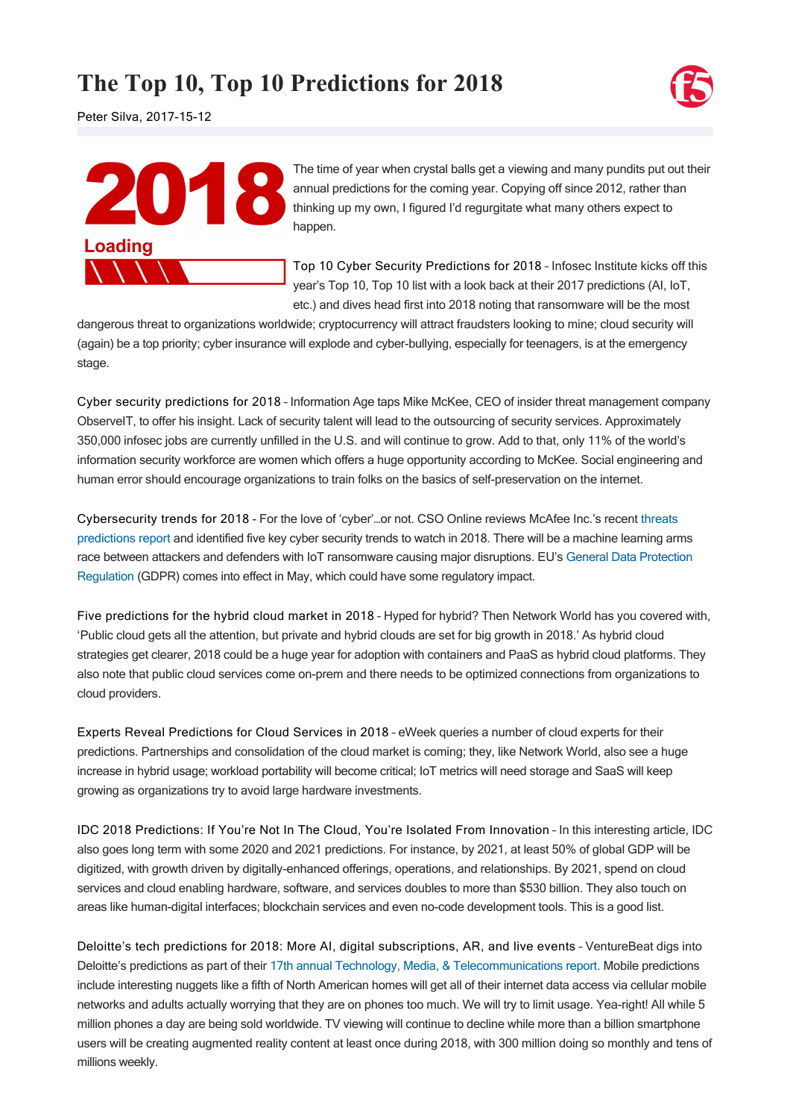## **The Top 10, Top 10 Predictions for 2018**



Peter Silva, 2017-15-12



The time of year when crystal balls get a viewing and many pundits put out their annual predictions for the coming year. Copying off since 2012, rather than thinking up my own, I figured I'd regurgitate what many others expect to happen.

[Top 10 Cyber Security Predictions for 2018](http://resources.infosecinstitute.com/2018-cyber-security-predictions/) – Infosec Institute kicks off this year's Top 10, Top 10 list with a look back at their 2017 predictions (AI, IoT, etc.) and dives head first into 2018 noting that ransomware will be the most

dangerous threat to organizations worldwide; cryptocurrency will attract fraudsters looking to mine; cloud security will (again) be a top priority; cyber insurance will explode and cyber-bullying, especially for teenagers, is at the emergency stage.

[Cyber security predictions for 2018](http://www.information-age.com/cyber-security-predictions-2018-123469569/) – Information Age taps Mike McKee, CEO of insider threat management company ObserveIT, to offer his insight. Lack of security talent will lead to the outsourcing of security services. Approximately 350,000 infosec jobs are currently unfilled in the U.S. and will continue to grow. Add to that, only 11% of the world's information security workforce are women which offers a huge opportunity according to McKee. Social engineering and human error should encourage organizations to train folks on the basics of self-preservation on the internet.

[Cybersecurity trends for 2018](https://www.csoonline.com/article/3241122/cyber-attacks-espionage/cybersecurity-trends-for-2018.html) For the love of 'cyber'…or not. CSO Online reviews McAfee Inc.'s recent threats [predictions report and identified five key cyber security trends to watch in 2018. There will be a machine learning arm](http://www.businesswire.com/news/home/20171129005305/en/McAfee-Labs-Previews-Cybersecurity-Trends-2018)s [race between attackers and defenders with IoT ransomware causing major disruptions. EU's General Data Protection](https://www.eugdpr.org/) Regulation (GDPR) comes into effect in May, which could have some regulatory impact.

[Five predictions for the hybrid cloud market in 2018](https://www.networkworld.com/article/3237658/cloud-computing/five-predictions-for-the-hybrid-cloud-market-in-2018.html) – Hyped for hybrid? Then Network World has you covered with, 'Public cloud gets all the attention, but private and hybrid clouds are set for big growth in 2018.' As hybrid cloud strategies get clearer, 2018 could be a huge year for adoption with containers and PaaS as hybrid cloud platforms. They also note that public cloud services come on-prem and there needs to be optimized connections from organizations to cloud providers.

[Experts Reveal Predictions for Cloud Services in 2018](http://www.eweek.com/cloud/experts-reveal-predictions-for-cloud-services-in-2018) – eWeek queries a number of cloud experts for their predictions. Partnerships and consolidation of the cloud market is coming; they, like Network World, also see a huge increase in hybrid usage; workload portability will become critical; IoT metrics will need storage and SaaS will keep growing as organizations try to avoid large hardware investments.

[IDC 2018 Predictions: If You're Not In The Cloud, You're Isolated From Innovation](http://www.digitalistmag.com/digital-economy/2017/11/17/idc-2018-predictions-if-youre-not-in-cloud-youre-isolated-from-innovation-05487509) – In this interesting article, IDC also goes long term with some 2020 and 2021 predictions. For instance, by 2021, at least 50% of global GDP will be digitized, with growth driven by digitally-enhanced offerings, operations, and relationships. By 2021, spend on cloud services and cloud enabling hardware, software, and services doubles to more than \$530 billion. They also touch on areas like human-digital interfaces; blockchain services and even no-code development tools. This is a good list.

[Deloitte's tech predictions for 2018: More AI, digital subscriptions, AR, and live events](https://venturebeat.com/2017/12/11/deloittes-tech-predictions-for-2018-more-ai-digital-subscriptions-ar-and-live-events/) – VentureBeat digs into Deloitte's predictions as part of their [17th annual Technology, Media, & Telecommunications report.](https://www2.deloitte.com/us/en/pages/technology-media-and-telecommunications/articles/global-mobile-consumer-survey-us-edition.html?id=us:2el:3pr:gmcs2017:eng:tmt:111417) Mobile predictions include interesting nuggets like a fifth of North American homes will get all of their internet data access via cellular mobile networks and adults actually worrying that they are on phones too much. We will try to limit usage. Yea-right! All while 5 million phones a day are being sold worldwide. TV viewing will continue to decline while more than a billion smartphone users will be creating augmented reality content at least once during 2018, with 300 million doing so monthly and tens of millions weekly.